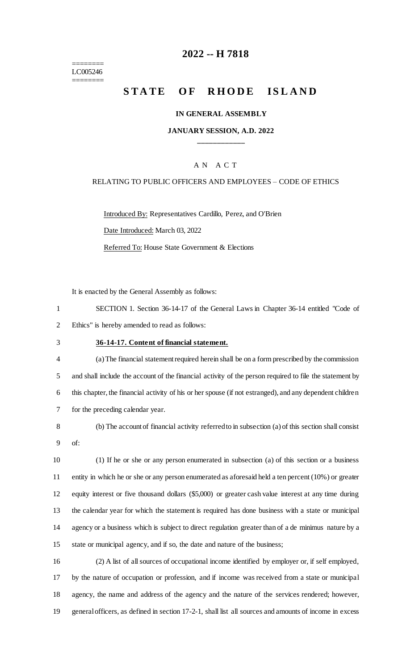======== LC005246 ========

# **-- H 7818**

# **STATE OF RHODE ISLAND**

### **IN GENERAL ASSEMBLY**

### **JANUARY SESSION, A.D. 2022 \_\_\_\_\_\_\_\_\_\_\_\_**

### A N A C T

### RELATING TO PUBLIC OFFICERS AND EMPLOYEES – CODE OF ETHICS

Introduced By: Representatives Cardillo, Perez, and O'Brien Date Introduced: March 03, 2022 Referred To: House State Government & Elections

It is enacted by the General Assembly as follows:

| SECTION 1. Section 36-14-17 of the General Laws in Chapter 36-14 entitled "Code of |
|------------------------------------------------------------------------------------|
| Ethics" is hereby amended to read as follows:                                      |

## **36-14-17. Content of financial statement.**

- (a) The financial statement required herein shall be on a form prescribed by the commission and shall include the account of the financial activity of the person required to file the statement by this chapter, the financial activity of his or her spouse (if not estranged), and any dependent children for the preceding calendar year.
- (b) The account of financial activity referred to in subsection (a) of this section shall consist of:

 (1) If he or she or any person enumerated in subsection (a) of this section or a business entity in which he or she or any person enumerated as aforesaid held a ten percent (10%) or greater equity interest or five thousand dollars (\$5,000) or greater cash value interest at any time during the calendar year for which the statement is required has done business with a state or municipal agency or a business which is subject to direct regulation greater than of a de minimus nature by a state or municipal agency, and if so, the date and nature of the business;

 (2) A list of all sources of occupational income identified by employer or, if self employed, by the nature of occupation or profession, and if income was received from a state or municipal agency, the name and address of the agency and the nature of the services rendered; however, general officers, as defined in section 17-2-1, shall list all sources and amounts of income in excess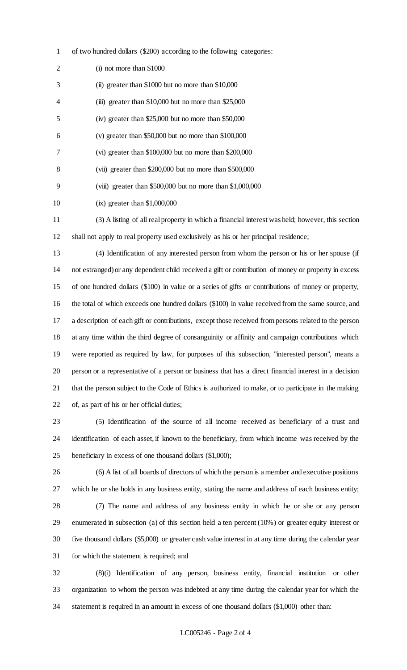of two hundred dollars (\$200) according to the following categories:

| 2  | $(i)$ not more than \$1000                                   |
|----|--------------------------------------------------------------|
| 3  | (ii) greater than \$1000 but no more than \$10,000           |
| 4  | (iii) greater than \$10,000 but no more than \$25,000        |
| 5  | (iv) greater than $$25,000$ but no more than $$50,000$       |
| 6  | (v) greater than $$50,000$ but no more than $$100,000$       |
|    | (vi) greater than $$100,000$ but no more than $$200,000$     |
| 8  | (vii) greater than $$200,000$ but no more than $$500,000$    |
| 9  | (viii) greater than $$500,000$ but no more than $$1,000,000$ |
| 10 | $(ix)$ greater than \$1,000,000                              |
|    |                                                              |

 (3) A listing of all real property in which a financial interest was held; however, this section shall not apply to real property used exclusively as his or her principal residence;

 (4) Identification of any interested person from whom the person or his or her spouse (if not estranged) or any dependent child received a gift or contribution of money or property in excess of one hundred dollars (\$100) in value or a series of gifts or contributions of money or property, the total of which exceeds one hundred dollars (\$100) in value received from the same source, and a description of each gift or contributions, except those received from persons related to the person at any time within the third degree of consanguinity or affinity and campaign contributions which were reported as required by law, for purposes of this subsection, "interested person", means a person or a representative of a person or business that has a direct financial interest in a decision that the person subject to the Code of Ethics is authorized to make, or to participate in the making of, as part of his or her official duties;

 (5) Identification of the source of all income received as beneficiary of a trust and identification of each asset, if known to the beneficiary, from which income was received by the beneficiary in excess of one thousand dollars (\$1,000);

 (6) A list of all boards of directors of which the person is a member and executive positions which he or she holds in any business entity, stating the name and address of each business entity; (7) The name and address of any business entity in which he or she or any person enumerated in subsection (a) of this section held a ten percent (10%) or greater equity interest or five thousand dollars (\$5,000) or greater cash value interest in at any time during the calendar year for which the statement is required; and

 (8)(i) Identification of any person, business entity, financial institution or other organization to whom the person was indebted at any time during the calendar year for which the statement is required in an amount in excess of one thousand dollars (\$1,000) other than: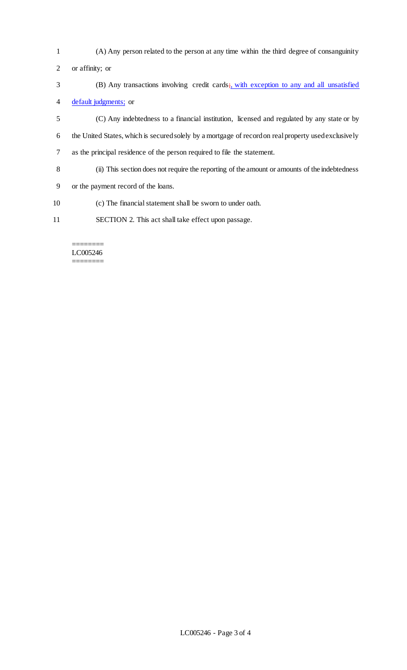- (A) Any person related to the person at any time within the third degree of consanguinity or affinity; or
- 3 (B) Any transactions involving credit cards; with exception to any and all unsatisfied default judgments; or
- (C) Any indebtedness to a financial institution, licensed and regulated by any state or by the United States, which is secured solely by a mortgage of record on real property used exclusively as the principal residence of the person required to file the statement.
- (ii) This section does not require the reporting of the amount or amounts of the indebtedness
- or the payment record of the loans.
- (c) The financial statement shall be sworn to under oath.
- SECTION 2. This act shall take effect upon passage.

#### ======== LC005246 ========